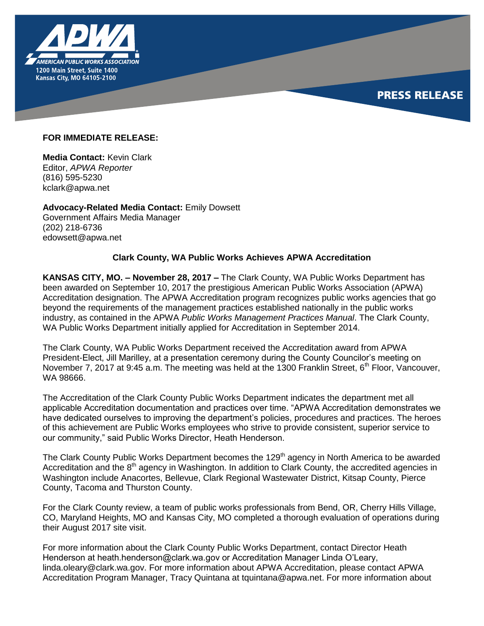

## **PRESS RELEASE**

## **FOR IMMEDIATE RELEASE:**

**Media Contact:** Kevin Clark Editor, *APWA Reporter* (816) 595-5230 kclark@apwa.net

**Advocacy-Related Media Contact:** Emily Dowsett Government Affairs Media Manager (202) 218-6736 edowsett@apwa.net

## **Clark County, WA Public Works Achieves APWA Accreditation**

**KANSAS CITY, MO. – November 28, 2017 –** The Clark County, WA Public Works Department has been awarded on September 10, 2017 the prestigious American Public Works Association (APWA) Accreditation designation. The APWA Accreditation program recognizes public works agencies that go beyond the requirements of the management practices established nationally in the public works industry, as contained in the APWA *Public Works Management Practices Manual*. The Clark County, WA Public Works Department initially applied for Accreditation in September 2014.

The Clark County, WA Public Works Department received the Accreditation award from APWA President-Elect, Jill Marilley, at a presentation ceremony during the County Councilor's meeting on November 7, 2017 at 9:45 a.m. The meeting was held at the 1300 Franklin Street,  $6<sup>th</sup>$  Floor, Vancouver, WA 98666.

The Accreditation of the Clark County Public Works Department indicates the department met all applicable Accreditation documentation and practices over time. "APWA Accreditation demonstrates we have dedicated ourselves to improving the department's policies, procedures and practices. The heroes of this achievement are Public Works employees who strive to provide consistent, superior service to our community," said Public Works Director, Heath Henderson.

The Clark County Public Works Department becomes the 129<sup>th</sup> agency in North America to be awarded Accreditation and the 8<sup>th</sup> agency in Washington. In addition to Clark County, the accredited agencies in Washington include Anacortes, Bellevue, Clark Regional Wastewater District, Kitsap County, Pierce County, Tacoma and Thurston County.

For the Clark County review, a team of public works professionals from Bend, OR, Cherry Hills Village, CO, Maryland Heights, MO and Kansas City, MO completed a thorough evaluation of operations during their August 2017 site visit.

For more information about the Clark County Public Works Department, contact Director Heath Henderson at heath.henderson@clark.wa.gov or Accreditation Manager Linda O'Leary, linda.oleary@clark.wa.gov. For more information about APWA Accreditation, please contact APWA Accreditation Program Manager, Tracy Quintana at tquintana@apwa.net. For more information about